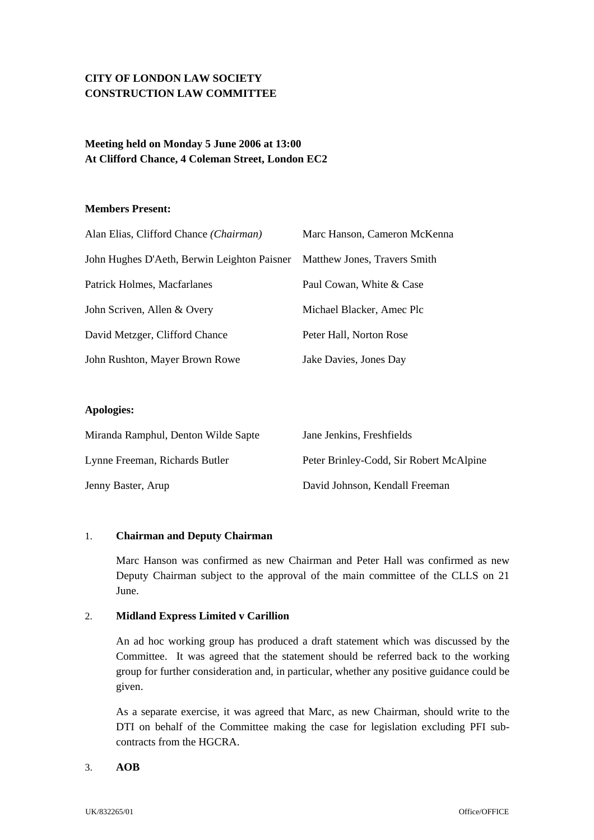# **CITY OF LONDON LAW SOCIETY CONSTRUCTION LAW COMMITTEE**

## **Meeting held on Monday 5 June 2006 at 13:00 At Clifford Chance, 4 Coleman Street, London EC2**

### **Members Present:**

| Alan Elias, Clifford Chance (Chairman)      | Marc Hanson, Cameron McKenna |
|---------------------------------------------|------------------------------|
| John Hughes D'Aeth, Berwin Leighton Paisner | Matthew Jones, Travers Smith |
| Patrick Holmes, Macfarlanes                 | Paul Cowan, White & Case     |
| John Scriven, Allen & Overy                 | Michael Blacker, Amec Plc    |
| David Metzger, Clifford Chance              | Peter Hall, Norton Rose      |
| John Rushton, Mayer Brown Rowe              | Jake Davies, Jones Day       |

### **Apologies:**

| Miranda Ramphul, Denton Wilde Sapte | Jane Jenkins, Freshfields               |
|-------------------------------------|-----------------------------------------|
| Lynne Freeman, Richards Butler      | Peter Brinley-Codd, Sir Robert McAlpine |
| Jenny Baster, Arup                  | David Johnson, Kendall Freeman          |

### 1. **Chairman and Deputy Chairman**

Marc Hanson was confirmed as new Chairman and Peter Hall was confirmed as new Deputy Chairman subject to the approval of the main committee of the CLLS on 21 June.

### 2. **Midland Express Limited v Carillion**

An ad hoc working group has produced a draft statement which was discussed by the Committee. It was agreed that the statement should be referred back to the working group for further consideration and, in particular, whether any positive guidance could be given.

As a separate exercise, it was agreed that Marc, as new Chairman, should write to the DTI on behalf of the Committee making the case for legislation excluding PFI subcontracts from the HGCRA.

#### 3. **AOB**